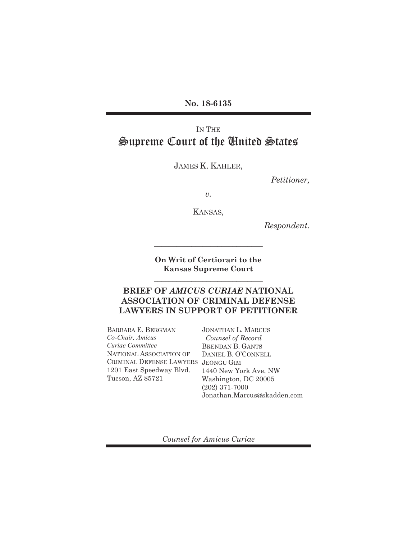**No. 18-6135** 

# IN THE Supreme Court of the United States

JAMES K. KAHLER,

*Petitioner,* 

*v.* 

KANSAS*,* 

*Respondent.* 

**On Writ of Certiorari to the Kansas Supreme Court**   $\mathcal{L}_\text{max}$  , where  $\mathcal{L}_\text{max}$  is the set of the set of the set of the set of the set of the set of the set of the set of the set of the set of the set of the set of the set of the set of the set of the set of the se

**\_\_\_\_\_\_\_\_\_\_\_\_\_\_\_\_\_\_\_\_\_\_\_\_\_\_\_\_\_**

### **BRIEF OF** *AMICUS CURIAE* **NATIONAL ASSOCIATION OF CRIMINAL DEFENSE LAWYERS IN SUPPORT OF PETITIONER**

BARBARA E. BERGMAN *Co-Chair, Amicus Curiae Committee*  NATIONAL ASSOCIATION OF CRIMINAL DEFENSE LAWYERS JEONGU GIM 1201 East Speedway Blvd. Tucson, AZ 85721 JONATHAN L. MARCUS  *Counsel of Record*  BRENDAN B. GANTS DANIEL B. O'CONNELL 1440 New York Ave, NW Washington, DC 20005 (202) 371-7000 Jonathan.Marcus@skadden.com

*Counsel for Amicus Curiae*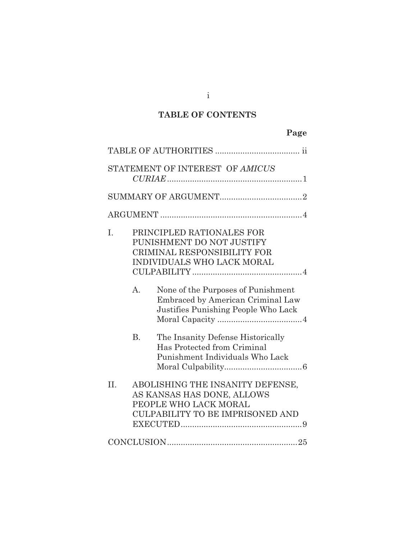# **TABLE OF CONTENTS**

|     | STATEMENT OF INTEREST OF AMICUS |                                                                                                                                    |  |  |  |
|-----|---------------------------------|------------------------------------------------------------------------------------------------------------------------------------|--|--|--|
|     |                                 |                                                                                                                                    |  |  |  |
|     |                                 |                                                                                                                                    |  |  |  |
| I.  |                                 | PRINCIPLED RATIONALES FOR<br>PUNISHMENT DO NOT JUSTIFY<br><b>CRIMINAL RESPONSIBILITY FOR</b><br>INDIVIDUALS WHO LACK MORAL         |  |  |  |
|     | A <sub>1</sub>                  | None of the Purposes of Punishment<br>Embraced by American Criminal Law<br>Justifies Punishing People Who Lack                     |  |  |  |
|     | <b>B.</b>                       | The Insanity Defense Historically<br>Has Protected from Criminal<br>Punishment Individuals Who Lack                                |  |  |  |
| II. |                                 | ABOLISHING THE INSANITY DEFENSE,<br>AS KANSAS HAS DONE, ALLOWS<br>PEOPLE WHO LACK MORAL<br><b>CULPABILITY TO BE IMPRISONED AND</b> |  |  |  |
|     |                                 |                                                                                                                                    |  |  |  |

i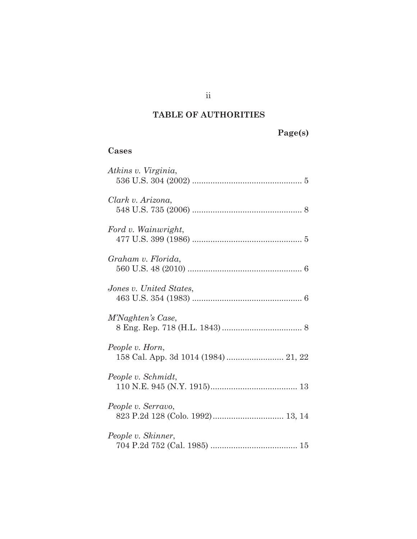# **TABLE OF AUTHORITIES**

**Page(s)** 

### **Cases**

| Atkins v. Virginia,     |
|-------------------------|
| Clark v. Arizona,       |
| Ford v. Wainwright,     |
| Graham v. Florida,      |
| Jones v. United States, |
| M'Naghten's Case,       |
| People v. Horn,         |
| People v. Schmidt,      |
| People v. Serravo,      |
| People v. Skinner,      |

ii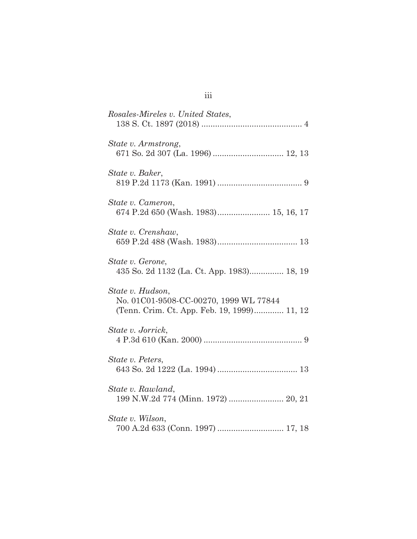| Rosales-Mireles v. United States,                                                                         |
|-----------------------------------------------------------------------------------------------------------|
| State v. Armstrong,                                                                                       |
| State v. Baker,                                                                                           |
| State v. Cameron,<br>674 P.2d 650 (Wash. 1983) 15, 16, 17                                                 |
| State v. Crenshaw,                                                                                        |
| State v. Gerone,<br>435 So. 2d 1132 (La. Ct. App. 1983) 18, 19                                            |
| State v. Hudson,<br>No. 01C01-9508-CC-00270, 1999 WL 77844<br>(Tenn. Crim. Ct. App. Feb. 19, 1999) 11, 12 |
| State v. Jorrick,                                                                                         |
| State v. Peters,                                                                                          |
| State v. Rawland,<br>199 N.W.2d 774 (Minn. 1972)  20, 21                                                  |
| State v. Wilson,<br>700 A.2d 633 (Conn. 1997)  17, 18                                                     |

| ×<br>۰. | $\sim$ | $\sim$ |  |
|---------|--------|--------|--|
| ×       |        |        |  |
|         |        |        |  |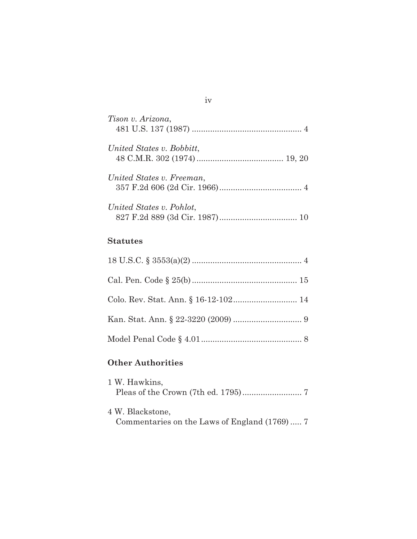| Tison v. Arizona,         |
|---------------------------|
| United States v. Bobbitt, |
| United States v. Freeman, |
| United States v. Pohlot,  |

## **Statutes**

## **Other Authorities**

| 1 W. Hawkins,    |                                              |  |
|------------------|----------------------------------------------|--|
|                  |                                              |  |
|                  |                                              |  |
| 4 W. Blackstone, |                                              |  |
|                  | Commentaries on the Laws of England (1769) 7 |  |

### iv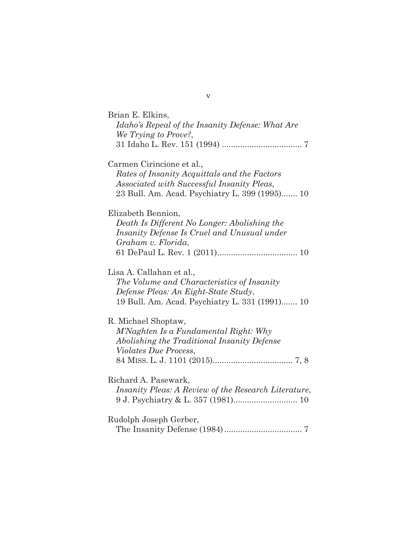| Brian E. Elkins,<br>Idaho's Repeal of the Insanity Defense: What Are<br>We Trying to Prove?,                                                                              |
|---------------------------------------------------------------------------------------------------------------------------------------------------------------------------|
|                                                                                                                                                                           |
| Carmen Cirincione et al.,<br>Rates of Insanity Acquittals and the Factors<br>Associated with Successful Insanity Pleas,<br>23 Bull. Am. Acad. Psychiatry L. 399 (1995) 10 |
| Elizabeth Bennion,<br>Death Is Different No Longer: Abolishing the<br>Insanity Defense Is Cruel and Unusual under<br>Graham v. Florida,                                   |
| Lisa A. Callahan et al.,<br>The Volume and Characteristics of Insanity<br>Defense Pleas: An Eight-State Study,<br>19 Bull. Am. Acad. Psychiatry L. 331 (1991) 10          |
| R. Michael Shoptaw,<br>M'Naghten Is a Fundamental Right: Why<br>Abolishing the Traditional Insanity Defense<br><i>Violates Due Process,</i>                               |
| Richard A. Pasewark,<br><i>Insanity Pleas: A Review of the Research Literature,</i>                                                                                       |
| Rudolph Joseph Gerber,                                                                                                                                                    |

v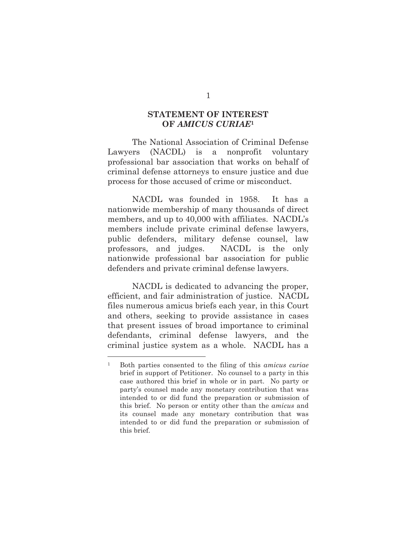### **STATEMENT OF INTEREST OF** *AMICUS CURIAE***<sup>1</sup>**

The National Association of Criminal Defense Lawyers (NACDL) is a nonprofit voluntary professional bar association that works on behalf of criminal defense attorneys to ensure justice and due process for those accused of crime or misconduct.

NACDL was founded in 1958. It has a nationwide membership of many thousands of direct members, and up to 40,000 with affiliates. NACDL's members include private criminal defense lawyers, public defenders, military defense counsel, law professors, and judges. NACDL is the only nationwide professional bar association for public defenders and private criminal defense lawyers.

NACDL is dedicated to advancing the proper, efficient, and fair administration of justice. NACDL files numerous amicus briefs each year, in this Court and others, seeking to provide assistance in cases that present issues of broad importance to criminal defendants, criminal defense lawyers, and the criminal justice system as a whole. NACDL has a

<sup>1</sup> Both parties consented to the filing of this *amicus curiae* brief in support of Petitioner. No counsel to a party in this case authored this brief in whole or in part. No party or party's counsel made any monetary contribution that was intended to or did fund the preparation or submission of this brief. No person or entity other than the *amicus* and its counsel made any monetary contribution that was intended to or did fund the preparation or submission of this brief.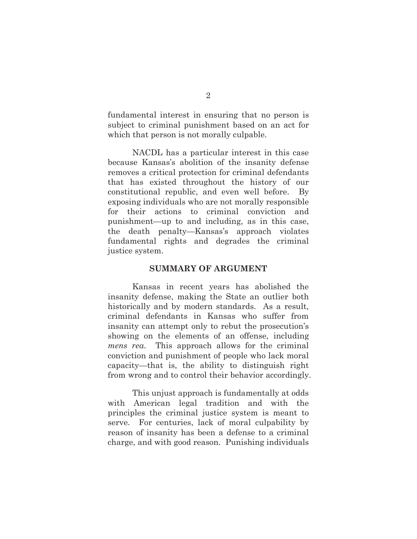fundamental interest in ensuring that no person is subject to criminal punishment based on an act for which that person is not morally culpable.

NACDL has a particular interest in this case because Kansas's abolition of the insanity defense removes a critical protection for criminal defendants that has existed throughout the history of our constitutional republic, and even well before. By exposing individuals who are not morally responsible for their actions to criminal conviction and punishment—up to and including, as in this case, the death penalty—Kansas's approach violates fundamental rights and degrades the criminal justice system.

#### **SUMMARY OF ARGUMENT**

Kansas in recent years has abolished the insanity defense, making the State an outlier both historically and by modern standards. As a result, criminal defendants in Kansas who suffer from insanity can attempt only to rebut the prosecution's showing on the elements of an offense, including *mens rea*. This approach allows for the criminal conviction and punishment of people who lack moral capacity—that is, the ability to distinguish right from wrong and to control their behavior accordingly.

This unjust approach is fundamentally at odds with American legal tradition and with the principles the criminal justice system is meant to serve. For centuries, lack of moral culpability by reason of insanity has been a defense to a criminal charge, and with good reason. Punishing individuals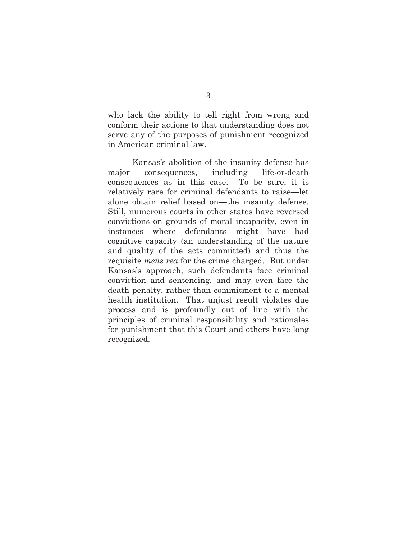who lack the ability to tell right from wrong and conform their actions to that understanding does not serve any of the purposes of punishment recognized in American criminal law.

Kansas's abolition of the insanity defense has major consequences, including life-or-death consequences as in this case. To be sure, it is relatively rare for criminal defendants to raise—let alone obtain relief based on—the insanity defense. Still, numerous courts in other states have reversed convictions on grounds of moral incapacity, even in instances where defendants might have had cognitive capacity (an understanding of the nature and quality of the acts committed) and thus the requisite *mens rea* for the crime charged. But under Kansas's approach, such defendants face criminal conviction and sentencing, and may even face the death penalty, rather than commitment to a mental health institution. That unjust result violates due process and is profoundly out of line with the principles of criminal responsibility and rationales for punishment that this Court and others have long recognized.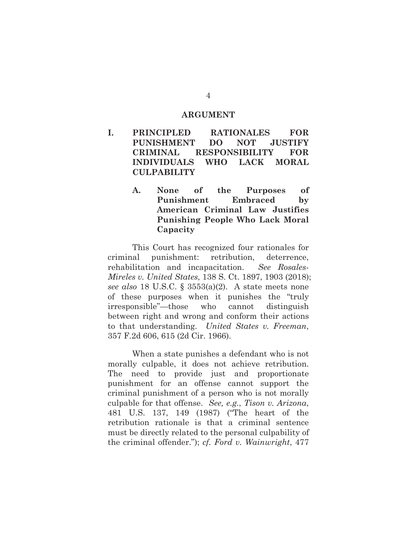#### **ARGUMENT**

- **I. PRINCIPLED RATIONALES FOR PUNISHMENT DO NOT JUSTIFY CRIMINAL RESPONSIBILITY FOR INDIVIDUALS WHO LACK MORAL CULPABILITY** 
	- **A. None of the Purposes of Punishment Embraced by American Criminal Law Justifies Punishing People Who Lack Moral Capacity**

This Court has recognized four rationales for criminal punishment: retribution, deterrence, rehabilitation and incapacitation. *See Rosales-Mireles v. United States*, 138 S. Ct. 1897, 1903 (2018); *see also* 18 U.S.C. § 3553(a)(2). A state meets none of these purposes when it punishes the "truly irresponsible"—those who cannot distinguish between right and wrong and conform their actions to that understanding. *United States v. Freeman*, 357 F.2d 606, 615 (2d Cir. 1966).

When a state punishes a defendant who is not morally culpable, it does not achieve retribution. The need to provide just and proportionate punishment for an offense cannot support the criminal punishment of a person who is not morally culpable for that offense. *See, e.g.*, *Tison v. Arizona*, 481 U.S. 137, 149 (1987) ("The heart of the retribution rationale is that a criminal sentence must be directly related to the personal culpability of the criminal offender."); *cf. Ford v. Wainwright*, 477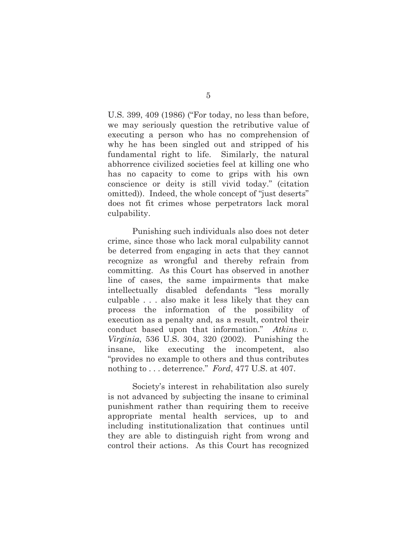U.S. 399, 409 (1986) ("For today, no less than before, we may seriously question the retributive value of executing a person who has no comprehension of why he has been singled out and stripped of his fundamental right to life. Similarly, the natural abhorrence civilized societies feel at killing one who has no capacity to come to grips with his own conscience or deity is still vivid today." (citation omitted)). Indeed, the whole concept of "just deserts" does not fit crimes whose perpetrators lack moral culpability.

Punishing such individuals also does not deter crime, since those who lack moral culpability cannot be deterred from engaging in acts that they cannot recognize as wrongful and thereby refrain from committing. As this Court has observed in another line of cases, the same impairments that make intellectually disabled defendants "less morally culpable . . . also make it less likely that they can process the information of the possibility of execution as a penalty and, as a result, control their conduct based upon that information." *Atkins v. Virginia*, 536 U.S. 304, 320 (2002). Punishing the insane, like executing the incompetent, also "provides no example to others and thus contributes nothing to . . . deterrence." *Ford*, 477 U.S. at 407.

Society's interest in rehabilitation also surely is not advanced by subjecting the insane to criminal punishment rather than requiring them to receive appropriate mental health services, up to and including institutionalization that continues until they are able to distinguish right from wrong and control their actions. As this Court has recognized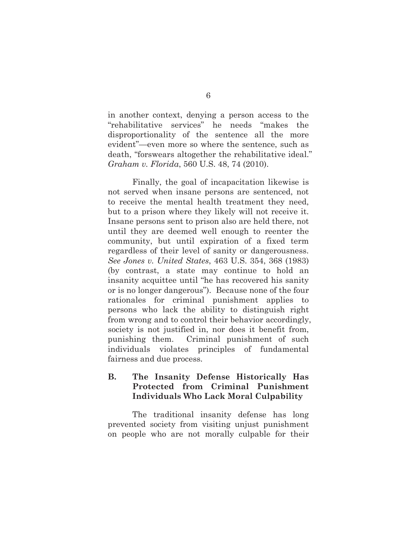in another context, denying a person access to the "rehabilitative services" he needs "makes the disproportionality of the sentence all the more evident"—even more so where the sentence, such as death, "forswears altogether the rehabilitative ideal." *Graham v. Florida*, 560 U.S. 48, 74 (2010).

Finally, the goal of incapacitation likewise is not served when insane persons are sentenced, not to receive the mental health treatment they need, but to a prison where they likely will not receive it. Insane persons sent to prison also are held there, not until they are deemed well enough to reenter the community, but until expiration of a fixed term regardless of their level of sanity or dangerousness. *See Jones v. United States*, 463 U.S. 354, 368 (1983) (by contrast, a state may continue to hold an insanity acquittee until "he has recovered his sanity or is no longer dangerous"). Because none of the four rationales for criminal punishment applies to persons who lack the ability to distinguish right from wrong and to control their behavior accordingly, society is not justified in, nor does it benefit from, punishing them. Criminal punishment of such individuals violates principles of fundamental fairness and due process.

### **B. The Insanity Defense Historically Has Protected from Criminal Punishment Individuals Who Lack Moral Culpability**

The traditional insanity defense has long prevented society from visiting unjust punishment on people who are not morally culpable for their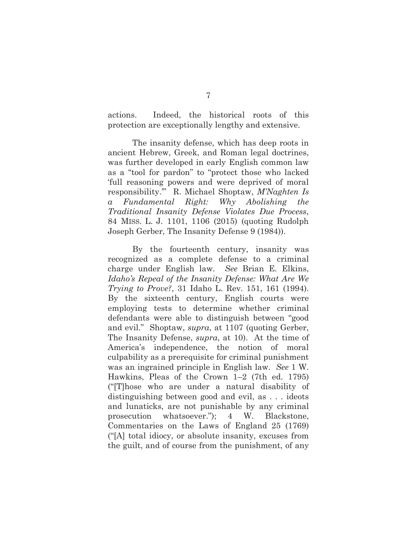actions. Indeed, the historical roots of this protection are exceptionally lengthy and extensive.

The insanity defense, which has deep roots in ancient Hebrew, Greek, and Roman legal doctrines, was further developed in early English common law as a "tool for pardon" to "protect those who lacked 'full reasoning powers and were deprived of moral responsibility.'" R. Michael Shoptaw, *M'Naghten Is a Fundamental Right: Why Abolishing the Traditional Insanity Defense Violates Due Process*, 84 MISS. L. J. 1101, 1106 (2015) (quoting Rudolph Joseph Gerber, The Insanity Defense 9 (1984)).

By the fourteenth century, insanity was recognized as a complete defense to a criminal charge under English law. *See* Brian E. Elkins, *Idaho's Repeal of the Insanity Defense: What Are We Trying to Prove?*, 31 Idaho L. Rev. 151, 161 (1994). By the sixteenth century, English courts were employing tests to determine whether criminal defendants were able to distinguish between "good and evil." Shoptaw, *supra*, at 1107 (quoting Gerber, The Insanity Defense, *supra*, at 10). At the time of America's independence, the notion of moral culpability as a prerequisite for criminal punishment was an ingrained principle in English law. *See* 1 W. Hawkins, Pleas of the Crown 1–2 (7th ed. 1795) ("[T]hose who are under a natural disability of distinguishing between good and evil, as . . . ideots and lunaticks, are not punishable by any criminal prosecution whatsoever."); 4 W. Blackstone, Commentaries on the Laws of England 25 (1769) ("[A] total idiocy, or absolute insanity, excuses from the guilt, and of course from the punishment, of any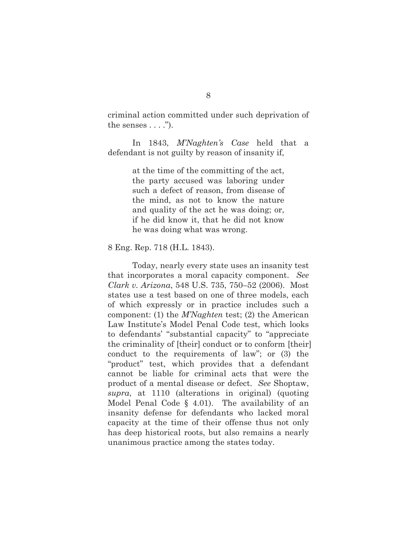criminal action committed under such deprivation of the senses  $\dots$ .").

In 1843, *M'Naghten's Case* held that a defendant is not guilty by reason of insanity if,

> at the time of the committing of the act, the party accused was laboring under such a defect of reason, from disease of the mind, as not to know the nature and quality of the act he was doing; or, if he did know it, that he did not know he was doing what was wrong.

8 Eng. Rep. 718 (H.L. 1843).

Today, nearly every state uses an insanity test that incorporates a moral capacity component. *See Clark v. Arizona*, 548 U.S. 735, 750–52 (2006). Most states use a test based on one of three models, each of which expressly or in practice includes such a component: (1) the *M'Naghten* test; (2) the American Law Institute's Model Penal Code test, which looks to defendants' "substantial capacity" to "appreciate the criminality of [their] conduct or to conform [their] conduct to the requirements of law"; or (3) the "product" test, which provides that a defendant cannot be liable for criminal acts that were the product of a mental disease or defect. *See* Shoptaw, *supra*, at 1110 (alterations in original) (quoting Model Penal Code § 4.01). The availability of an insanity defense for defendants who lacked moral capacity at the time of their offense thus not only has deep historical roots, but also remains a nearly unanimous practice among the states today.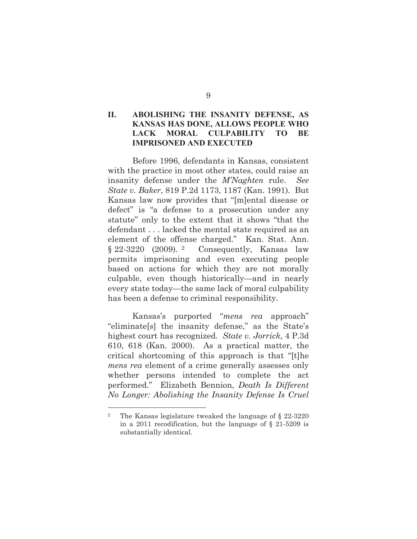### **II. ABOLISHING THE INSANITY DEFENSE, AS KANSAS HAS DONE, ALLOWS PEOPLE WHO LACK MORAL CULPABILITY TO BE IMPRISONED AND EXECUTED**

Before 1996, defendants in Kansas, consistent with the practice in most other states, could raise an insanity defense under the *M'Naghten* rule. *See State v. Baker*, 819 P.2d 1173, 1187 (Kan. 1991). But Kansas law now provides that "[m]ental disease or defect" is "a defense to a prosecution under any statute" only to the extent that it shows "that the defendant . . . lacked the mental state required as an element of the offense charged." Kan. Stat. Ann. § 22-3220 (2009). 2 Consequently, Kansas law permits imprisoning and even executing people based on actions for which they are not morally culpable, even though historically—and in nearly every state today—the same lack of moral culpability has been a defense to criminal responsibility.

Kansas's purported "*mens rea* approach" "eliminate[s] the insanity defense," as the State's highest court has recognized. *State v. Jorrick*, 4 P.3d 610, 618 (Kan. 2000). As a practical matter, the critical shortcoming of this approach is that "[t]he *mens rea* element of a crime generally assesses only whether persons intended to complete the act performed." Elizabeth Bennion, *Death Is Different No Longer: Abolishing the Insanity Defense Is Cruel* 

<sup>2</sup> The Kansas legislature tweaked the language of § 22-3220 in a 2011 recodification, but the language of § 21-5209 is substantially identical.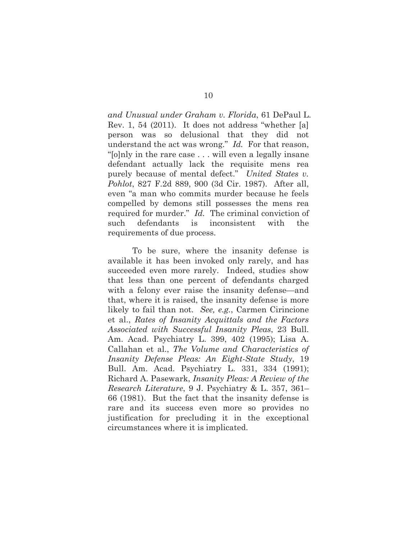*and Unusual under Graham v. Florida*, 61 DePaul L. Rev. 1, 54 (2011). It does not address "whether [a] person was so delusional that they did not understand the act was wrong." *Id.* For that reason, "[o]nly in the rare case . . . will even a legally insane defendant actually lack the requisite mens rea purely because of mental defect." *United States v. Pohlot*, 827 F.2d 889, 900 (3d Cir. 1987). After all, even "a man who commits murder because he feels compelled by demons still possesses the mens rea required for murder." *Id.* The criminal conviction of such defendants is inconsistent with the requirements of due process.

To be sure, where the insanity defense is available it has been invoked only rarely, and has succeeded even more rarely. Indeed, studies show that less than one percent of defendants charged with a felony ever raise the insanity defense—and that, where it is raised, the insanity defense is more likely to fail than not. *See, e.g.*, Carmen Cirincione et al., *Rates of Insanity Acquittals and the Factors Associated with Successful Insanity Pleas*, 23 Bull. Am. Acad. Psychiatry L. 399, 402 (1995); Lisa A. Callahan et al., *The Volume and Characteristics of Insanity Defense Pleas: An Eight-State Study*, 19 Bull. Am. Acad. Psychiatry L. 331, 334 (1991); Richard A. Pasewark, *Insanity Pleas: A Review of the Research Literature*, 9 J. Psychiatry & L. 357, 361– 66 (1981). But the fact that the insanity defense is rare and its success even more so provides no justification for precluding it in the exceptional circumstances where it is implicated.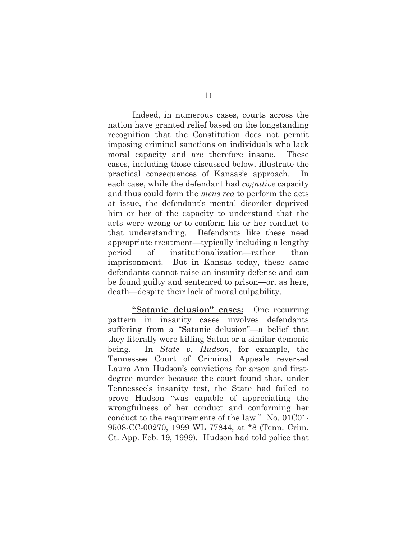Indeed, in numerous cases, courts across the nation have granted relief based on the longstanding recognition that the Constitution does not permit imposing criminal sanctions on individuals who lack moral capacity and are therefore insane. These cases, including those discussed below, illustrate the practical consequences of Kansas's approach. each case, while the defendant had *cognitive* capacity and thus could form the *mens rea* to perform the acts at issue, the defendant's mental disorder deprived him or her of the capacity to understand that the acts were wrong or to conform his or her conduct to that understanding. Defendants like these need appropriate treatment—typically including a lengthy period of institutionalization—rather than imprisonment. But in Kansas today, these same defendants cannot raise an insanity defense and can be found guilty and sentenced to prison—or, as here, death—despite their lack of moral culpability.

**"Satanic delusion" cases:** One recurring pattern in insanity cases involves defendants suffering from a "Satanic delusion"—a belief that they literally were killing Satan or a similar demonic being. In *State v. Hudson*, for example, the Tennessee Court of Criminal Appeals reversed Laura Ann Hudson's convictions for arson and firstdegree murder because the court found that, under Tennessee's insanity test, the State had failed to prove Hudson "was capable of appreciating the wrongfulness of her conduct and conforming her conduct to the requirements of the law." No. 01C01- 9508-CC-00270, 1999 WL 77844, at \*8 (Tenn. Crim. Ct. App. Feb. 19, 1999). Hudson had told police that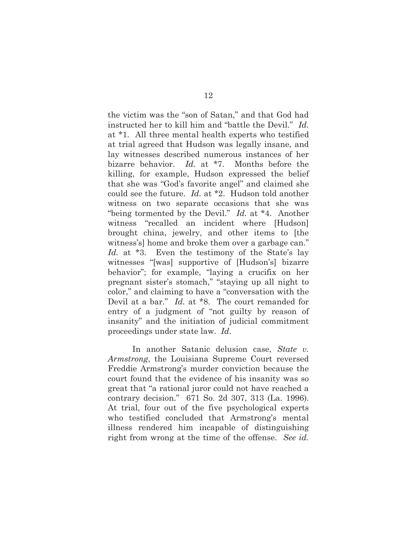the victim was the "son of Satan," and that God had instructed her to kill him and "battle the Devil." *Id.* at \*1. All three mental health experts who testified at trial agreed that Hudson was legally insane, and lay witnesses described numerous instances of her bizarre behavior. *Id.* at \*7. Months before the killing, for example, Hudson expressed the belief that she was "God's favorite angel" and claimed she could see the future. *Id.* at \*2. Hudson told another witness on two separate occasions that she was "being tormented by the Devil." *Id.* at \*4. Another witness "recalled an incident where [Hudson] brought china, jewelry, and other items to [the witness's] home and broke them over a garbage can." Id. at  $*3$ . Even the testimony of the State's lay witnesses "[was] supportive of [Hudson's] bizarre behavior"; for example, "laying a crucifix on her pregnant sister's stomach," "staying up all night to color," and claiming to have a "conversation with the Devil at a bar." *Id.* at \*8. The court remanded for entry of a judgment of "not guilty by reason of insanity" and the initiation of judicial commitment proceedings under state law. *Id*.

In another Satanic delusion case, *State v. Armstrong*, the Louisiana Supreme Court reversed Freddie Armstrong's murder conviction because the court found that the evidence of his insanity was so great that "a rational juror could not have reached a contrary decision." 671 So. 2d 307, 313 (La. 1996). At trial, four out of the five psychological experts who testified concluded that Armstrong's mental illness rendered him incapable of distinguishing right from wrong at the time of the offense. *See id.*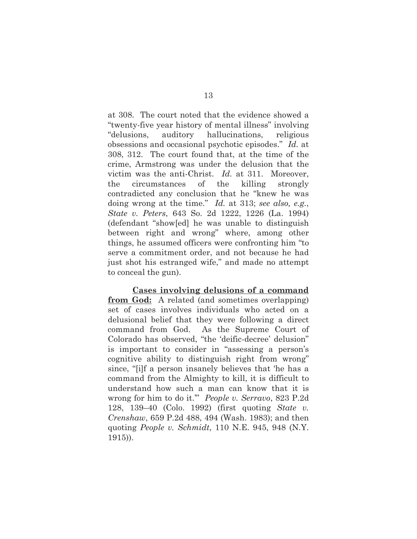at 308. The court noted that the evidence showed a "twenty-five year history of mental illness" involving "delusions, auditory hallucinations, religious obsessions and occasional psychotic episodes." *Id.* at 308, 312. The court found that, at the time of the crime, Armstrong was under the delusion that the victim was the anti-Christ. *Id.* at 311. Moreover, the circumstances of the killing strongly contradicted any conclusion that he "knew he was doing wrong at the time." *Id.* at 313; *see also, e.g.*, *State v. Peters*, 643 So. 2d 1222, 1226 (La. 1994) (defendant "show[ed] he was unable to distinguish between right and wrong" where, among other things, he assumed officers were confronting him "to serve a commitment order, and not because he had just shot his estranged wife," and made no attempt to conceal the gun).

**Cases involving delusions of a command from God:** A related (and sometimes overlapping) set of cases involves individuals who acted on a delusional belief that they were following a direct command from God. As the Supreme Court of Colorado has observed, "the 'deific-decree' delusion" is important to consider in "assessing a person's cognitive ability to distinguish right from wrong" since, "[i]f a person insanely believes that 'he has a command from the Almighty to kill, it is difficult to understand how such a man can know that it is wrong for him to do it.'" *People v. Serravo*, 823 P.2d 128, 139–40 (Colo. 1992) (first quoting *State v. Crenshaw*, 659 P.2d 488, 494 (Wash. 1983); and then quoting *People v. Schmidt*, 110 N.E. 945, 948 (N.Y. 1915)).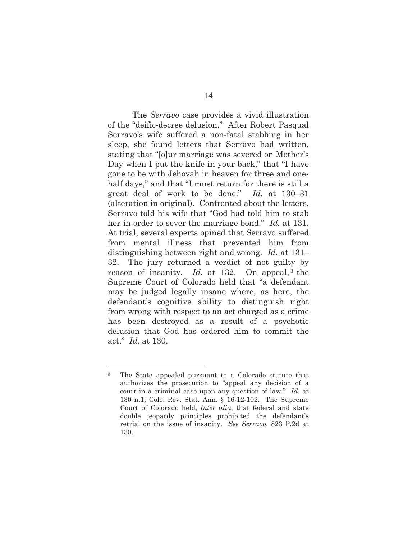The *Serravo* case provides a vivid illustration of the "deific-decree delusion." After Robert Pasqual Serravo's wife suffered a non-fatal stabbing in her sleep, she found letters that Serravo had written, stating that "[o]ur marriage was severed on Mother's Day when I put the knife in your back," that "I have gone to be with Jehovah in heaven for three and onehalf days," and that "I must return for there is still a great deal of work to be done." *Id.* at 130–31 (alteration in original). Confronted about the letters, Serravo told his wife that "God had told him to stab her in order to sever the marriage bond." *Id.* at 131. At trial, several experts opined that Serravo suffered from mental illness that prevented him from distinguishing between right and wrong. *Id.* at 131– 32. The jury returned a verdict of not guilty by reason of insanity. *Id.* at 132. On appeal,<sup>3</sup> the Supreme Court of Colorado held that "a defendant may be judged legally insane where, as here, the defendant's cognitive ability to distinguish right from wrong with respect to an act charged as a crime has been destroyed as a result of a psychotic delusion that God has ordered him to commit the act." *Id.* at 130.

<sup>3</sup> The State appealed pursuant to a Colorado statute that authorizes the prosecution to "appeal any decision of a court in a criminal case upon any question of law." *Id.* at 130 n.1; Colo. Rev. Stat. Ann. § 16-12-102. The Supreme Court of Colorado held, *inter alia*, that federal and state double jeopardy principles prohibited the defendant's retrial on the issue of insanity. *See Serravo*, 823 P.2d at 130.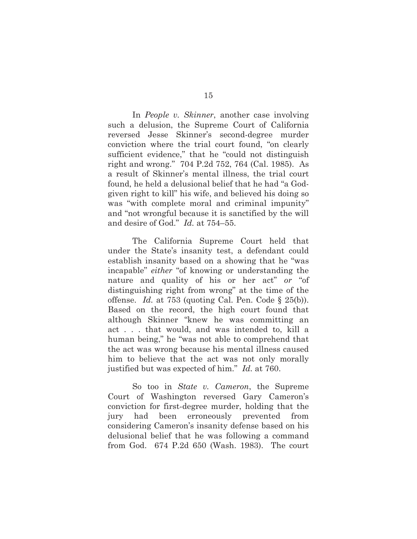In *People v. Skinner*, another case involving such a delusion, the Supreme Court of California reversed Jesse Skinner's second-degree murder conviction where the trial court found, "on clearly sufficient evidence," that he "could not distinguish right and wrong." 704 P.2d 752, 764 (Cal. 1985). As a result of Skinner's mental illness, the trial court found, he held a delusional belief that he had "a Godgiven right to kill" his wife, and believed his doing so was "with complete moral and criminal impunity" and "not wrongful because it is sanctified by the will and desire of God." *Id.* at 754–55.

The California Supreme Court held that under the State's insanity test, a defendant could establish insanity based on a showing that he "was incapable" *either* "of knowing or understanding the nature and quality of his or her act" *or* "of distinguishing right from wrong" at the time of the offense. *Id.* at 753 (quoting Cal. Pen. Code § 25(b)). Based on the record, the high court found that although Skinner "knew he was committing an act . . . that would, and was intended to, kill a human being," he "was not able to comprehend that the act was wrong because his mental illness caused him to believe that the act was not only morally justified but was expected of him." *Id.* at 760.

So too in *State v. Cameron*, the Supreme Court of Washington reversed Gary Cameron's conviction for first-degree murder, holding that the jury had been erroneously prevented from considering Cameron's insanity defense based on his delusional belief that he was following a command from God. 674 P.2d 650 (Wash. 1983). The court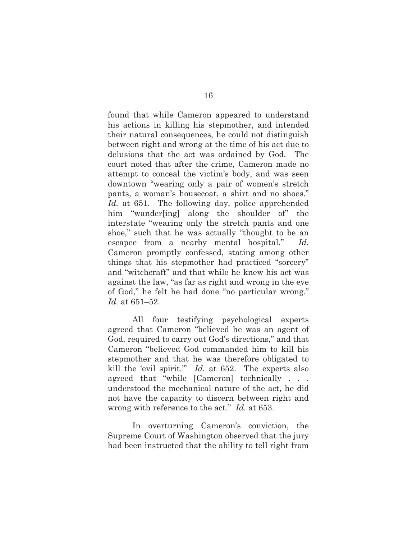found that while Cameron appeared to understand his actions in killing his stepmother, and intended their natural consequences, he could not distinguish between right and wrong at the time of his act due to delusions that the act was ordained by God. The court noted that after the crime, Cameron made no attempt to conceal the victim's body, and was seen downtown "wearing only a pair of women's stretch pants, a woman's housecoat, a shirt and no shoes." *Id.* at 651. The following day, police apprehended him "wander[ing] along the shoulder of" the interstate "wearing only the stretch pants and one shoe," such that he was actually "thought to be an escapee from a nearby mental hospital." *Id.* Cameron promptly confessed, stating among other things that his stepmother had practiced "sorcery" and "witchcraft" and that while he knew his act was against the law, "as far as right and wrong in the eye of God," he felt he had done "no particular wrong." *Id.* at 651–52.

All four testifying psychological experts agreed that Cameron "believed he was an agent of God, required to carry out God's directions," and that Cameron "believed God commanded him to kill his stepmother and that he was therefore obligated to kill the 'evil spirit.'" *Id.* at 652. The experts also agreed that "while [Cameron] technically . . . understood the mechanical nature of the act, he did not have the capacity to discern between right and wrong with reference to the act." *Id.* at 653.

In overturning Cameron's conviction, the Supreme Court of Washington observed that the jury had been instructed that the ability to tell right from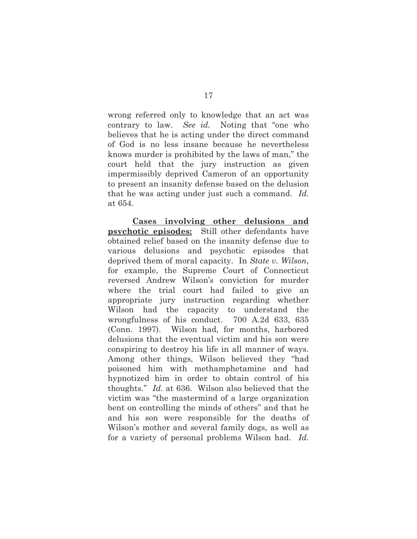wrong referred only to knowledge that an act was contrary to law. *See id.* Noting that "one who believes that he is acting under the direct command of God is no less insane because he nevertheless knows murder is prohibited by the laws of man," the court held that the jury instruction as given impermissibly deprived Cameron of an opportunity to present an insanity defense based on the delusion that he was acting under just such a command. *Id*. at 654.

**Cases involving other delusions and psychotic episodes:** Still other defendants have obtained relief based on the insanity defense due to various delusions and psychotic episodes that deprived them of moral capacity. In *State v. Wilson*, for example, the Supreme Court of Connecticut reversed Andrew Wilson's conviction for murder where the trial court had failed to give an appropriate jury instruction regarding whether Wilson had the capacity to understand the wrongfulness of his conduct. 700 A.2d 633, 635 (Conn. 1997). Wilson had, for months, harbored delusions that the eventual victim and his son were conspiring to destroy his life in all manner of ways. Among other things, Wilson believed they "had poisoned him with methamphetamine and had hypnotized him in order to obtain control of his thoughts." *Id.* at 636. Wilson also believed that the victim was "the mastermind of a large organization bent on controlling the minds of others" and that he and his son were responsible for the deaths of Wilson's mother and several family dogs, as well as for a variety of personal problems Wilson had. *Id.*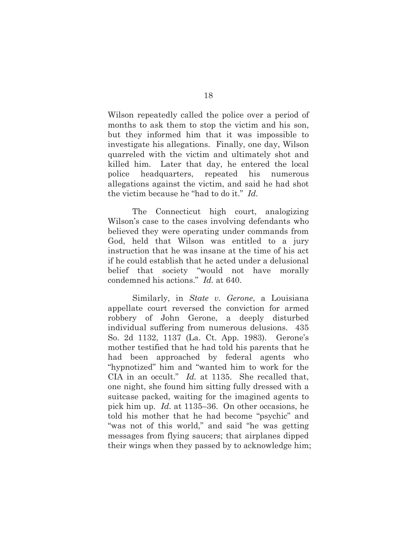Wilson repeatedly called the police over a period of months to ask them to stop the victim and his son, but they informed him that it was impossible to investigate his allegations. Finally, one day, Wilson quarreled with the victim and ultimately shot and killed him. Later that day, he entered the local police headquarters, repeated his numerous allegations against the victim, and said he had shot the victim because he "had to do it." *Id.*

The Connecticut high court, analogizing Wilson's case to the cases involving defendants who believed they were operating under commands from God, held that Wilson was entitled to a jury instruction that he was insane at the time of his act if he could establish that he acted under a delusional belief that society "would not have morally condemned his actions." *Id.* at 640.

Similarly, in *State v. Gerone*, a Louisiana appellate court reversed the conviction for armed robbery of John Gerone, a deeply disturbed individual suffering from numerous delusions. 435 So. 2d 1132, 1137 (La. Ct. App. 1983). Gerone's mother testified that he had told his parents that he had been approached by federal agents who "hypnotized" him and "wanted him to work for the CIA in an occult." *Id.* at 1135. She recalled that, one night, she found him sitting fully dressed with a suitcase packed, waiting for the imagined agents to pick him up. *Id.* at 1135–36. On other occasions, he told his mother that he had become "psychic" and "was not of this world," and said "he was getting messages from flying saucers; that airplanes dipped their wings when they passed by to acknowledge him;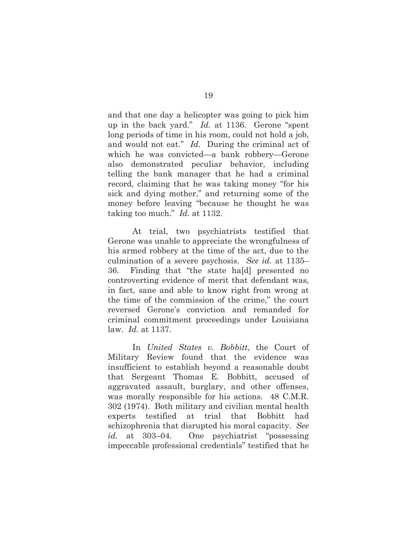and that one day a helicopter was going to pick him up in the back yard." *Id.* at 1136. Gerone "spent long periods of time in his room, could not hold a job, and would not eat." *Id.* During the criminal act of which he was convicted—a bank robbery—Gerone also demonstrated peculiar behavior, including telling the bank manager that he had a criminal record, claiming that he was taking money "for his sick and dying mother," and returning some of the money before leaving "because he thought he was taking too much." *Id.* at 1132.

At trial, two psychiatrists testified that Gerone was unable to appreciate the wrongfulness of his armed robbery at the time of the act, due to the culmination of a severe psychosis. *See id.* at 1135– 36. Finding that "the state ha[d] presented no controverting evidence of merit that defendant was, in fact, sane and able to know right from wrong at the time of the commission of the crime," the court reversed Gerone's conviction and remanded for criminal commitment proceedings under Louisiana law. *Id.* at 1137.

In *United States v. Bobbitt*, the Court of Military Review found that the evidence was insufficient to establish beyond a reasonable doubt that Sergeant Thomas E. Bobbitt, accused of aggravated assault, burglary, and other offenses, was morally responsible for his actions. 48 C.M.R. 302 (1974). Both military and civilian mental health experts testified at trial that Bobbitt had schizophrenia that disrupted his moral capacity. *See id.* at 303–04. One psychiatrist "possessing impeccable professional credentials" testified that he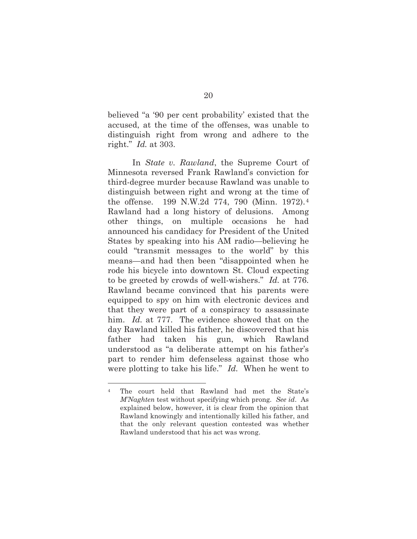believed "a '90 per cent probability' existed that the accused, at the time of the offenses, was unable to distinguish right from wrong and adhere to the right." *Id.* at 303.

In *State v. Rawland*, the Supreme Court of Minnesota reversed Frank Rawland's conviction for third-degree murder because Rawland was unable to distinguish between right and wrong at the time of the offense. 199 N.W.2d 774, 790 (Minn. 1972).4 Rawland had a long history of delusions. Among other things, on multiple occasions he had announced his candidacy for President of the United States by speaking into his AM radio—believing he could "transmit messages to the world" by this means—and had then been "disappointed when he rode his bicycle into downtown St. Cloud expecting to be greeted by crowds of well-wishers." *Id.* at 776. Rawland became convinced that his parents were equipped to spy on him with electronic devices and that they were part of a conspiracy to assassinate him. *Id.* at 777. The evidence showed that on the day Rawland killed his father, he discovered that his father had taken his gun, which Rawland understood as "a deliberate attempt on his father's part to render him defenseless against those who were plotting to take his life." *Id.* When he went to

<sup>4</sup> The court held that Rawland had met the State's *M'Naghten* test without specifying which prong. *See id*. As explained below, however, it is clear from the opinion that Rawland knowingly and intentionally killed his father, and that the only relevant question contested was whether Rawland understood that his act was wrong.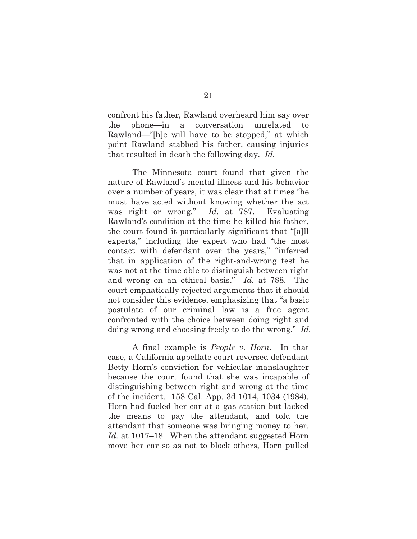confront his father, Rawland overheard him say over the phone—in a conversation unrelated to Rawland—"[h]e will have to be stopped," at which point Rawland stabbed his father, causing injuries that resulted in death the following day. *Id.*

The Minnesota court found that given the nature of Rawland's mental illness and his behavior over a number of years, it was clear that at times "he must have acted without knowing whether the act was right or wrong." *Id.* at 787. Evaluating Rawland's condition at the time he killed his father, the court found it particularly significant that "[a]ll experts," including the expert who had "the most contact with defendant over the years," "inferred that in application of the right-and-wrong test he was not at the time able to distinguish between right and wrong on an ethical basis." *Id.* at 788. The court emphatically rejected arguments that it should not consider this evidence, emphasizing that "a basic postulate of our criminal law is a free agent confronted with the choice between doing right and doing wrong and choosing freely to do the wrong." *Id.* 

A final example is *People v. Horn*. In that case, a California appellate court reversed defendant Betty Horn's conviction for vehicular manslaughter because the court found that she was incapable of distinguishing between right and wrong at the time of the incident. 158 Cal. App. 3d 1014, 1034 (1984). Horn had fueled her car at a gas station but lacked the means to pay the attendant, and told the attendant that someone was bringing money to her. *Id.* at 1017–18. When the attendant suggested Horn move her car so as not to block others, Horn pulled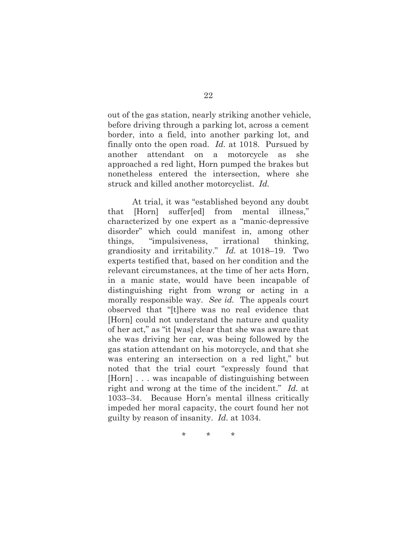out of the gas station, nearly striking another vehicle, before driving through a parking lot, across a cement border, into a field, into another parking lot, and finally onto the open road. *Id.* at 1018. Pursued by another attendant on a motorcycle as she approached a red light, Horn pumped the brakes but nonetheless entered the intersection, where she struck and killed another motorcyclist. *Id.*

At trial, it was "established beyond any doubt that [Horn] suffer[ed] from mental illness," characterized by one expert as a "manic-depressive disorder" which could manifest in, among other things, "impulsiveness, irrational thinking, grandiosity and irritability." *Id.* at 1018–19. Two experts testified that, based on her condition and the relevant circumstances, at the time of her acts Horn, in a manic state, would have been incapable of distinguishing right from wrong or acting in a morally responsible way. *See id.* The appeals court observed that "[t]here was no real evidence that [Horn] could not understand the nature and quality of her act," as "it [was] clear that she was aware that she was driving her car, was being followed by the gas station attendant on his motorcycle, and that she was entering an intersection on a red light," but noted that the trial court "expressly found that [Horn] . . . was incapable of distinguishing between right and wrong at the time of the incident." *Id.* at 1033–34. Because Horn's mental illness critically impeded her moral capacity, the court found her not guilty by reason of insanity. *Id.* at 1034.

\* \* \*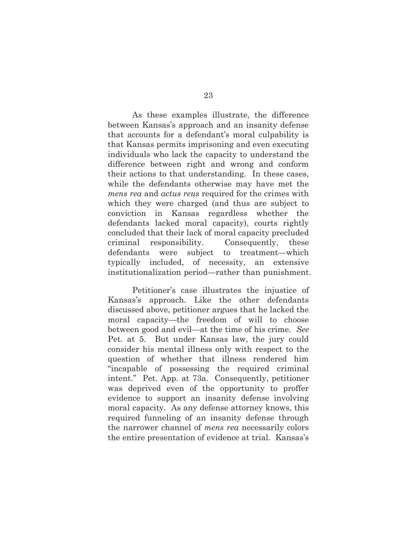As these examples illustrate, the difference between Kansas's approach and an insanity defense that accounts for a defendant's moral culpability is that Kansas permits imprisoning and even executing individuals who lack the capacity to understand the difference between right and wrong and conform their actions to that understanding. In these cases, while the defendants otherwise may have met the *mens rea* and *actus reus* required for the crimes with which they were charged (and thus are subject to conviction in Kansas regardless whether the defendants lacked moral capacity), courts rightly concluded that their lack of moral capacity precluded criminal responsibility. Consequently, these defendants were subject to treatment—which typically included, of necessity, an extensive institutionalization period—rather than punishment.

Petitioner's case illustrates the injustice of Kansas's approach. Like the other defendants discussed above, petitioner argues that he lacked the moral capacity—the freedom of will to choose between good and evil—at the time of his crime. *See*  Pet. at 5. But under Kansas law, the jury could consider his mental illness only with respect to the question of whether that illness rendered him "incapable of possessing the required criminal intent." Pet. App. at 73a. Consequently, petitioner was deprived even of the opportunity to proffer evidence to support an insanity defense involving moral capacity. As any defense attorney knows, this required funneling of an insanity defense through the narrower channel of *mens rea* necessarily colors the entire presentation of evidence at trial. Kansas's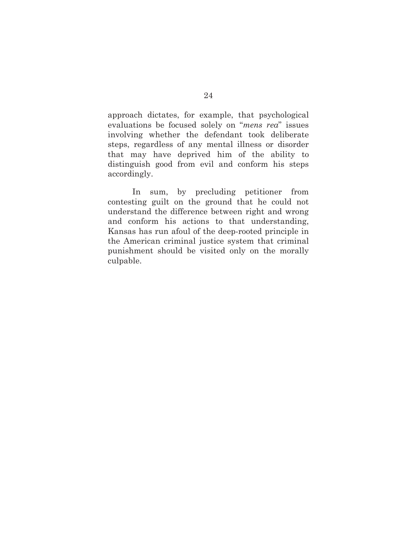approach dictates, for example, that psychological evaluations be focused solely on "*mens rea*" issues involving whether the defendant took deliberate steps, regardless of any mental illness or disorder that may have deprived him of the ability to distinguish good from evil and conform his steps accordingly.

In sum, by precluding petitioner from contesting guilt on the ground that he could not understand the difference between right and wrong and conform his actions to that understanding, Kansas has run afoul of the deep-rooted principle in the American criminal justice system that criminal punishment should be visited only on the morally culpable.